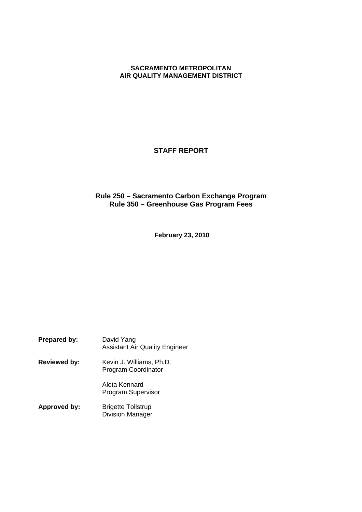# **SACRAMENTO METROPOLITAN AIR QUALITY MANAGEMENT DISTRICT**

# **STAFF REPORT**

# **Rule 250 – Sacramento Carbon Exchange Program Rule 350 – Greenhouse Gas Program Fees**

**February 23, 2010**

| Prepared by:        | David Yang<br><b>Assistant Air Quality Engineer</b>  |
|---------------------|------------------------------------------------------|
| <b>Reviewed by:</b> | Kevin J. Williams, Ph.D.<br>Program Coordinator      |
|                     | Aleta Kennard<br>Program Supervisor                  |
| Approved by:        | <b>Brigette Tollstrup</b><br><b>Division Manager</b> |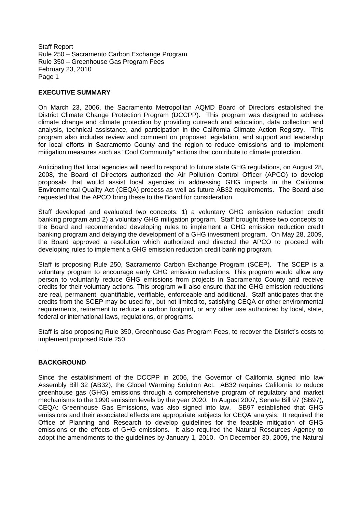## **EXECUTIVE SUMMARY**

On March 23, 2006, the Sacramento Metropolitan AQMD Board of Directors established the District Climate Change Protection Program (DCCPP). This program was designed to address climate change and climate protection by providing outreach and education, data collection and analysis, technical assistance, and participation in the California Climate Action Registry. This program also includes review and comment on proposed legislation, and support and leadership for local efforts in Sacramento County and the region to reduce emissions and to implement mitigation measures such as "Cool Community" actions that contribute to climate protection.

Anticipating that local agencies will need to respond to future state GHG regulations, on August 28, 2008, the Board of Directors authorized the Air Pollution Control Officer (APCO) to develop proposals that would assist local agencies in addressing GHG impacts in the California Environmental Quality Act (CEQA) process as well as future AB32 requirements. The Board also requested that the APCO bring these to the Board for consideration.

Staff developed and evaluated two concepts: 1) a voluntary GHG emission reduction credit banking program and 2) a voluntary GHG mitigation program. Staff brought these two concepts to the Board and recommended developing rules to implement a GHG emission reduction credit banking program and delaying the development of a GHG investment program. On May 28, 2009, the Board approved a resolution which authorized and directed the APCO to proceed with developing rules to implement a GHG emission reduction credit banking program.

Staff is proposing Rule 250, Sacramento Carbon Exchange Program (SCEP). The SCEP is a voluntary program to encourage early GHG emission reductions. This program would allow any person to voluntarily reduce GHG emissions from projects in Sacramento County and receive credits for their voluntary actions. This program will also ensure that the GHG emission reductions are real, permanent, quantifiable, verifiable, enforceable and additional. Staff anticipates that the credits from the SCEP may be used for, but not limited to, satisfying CEQA or other environmental requirements, retirement to reduce a carbon footprint, or any other use authorized by local, state, federal or international laws, regulations, or programs.

Staff is also proposing Rule 350, Greenhouse Gas Program Fees, to recover the District's costs to implement proposed Rule 250.

### **BACKGROUND**

Since the establishment of the DCCPP in 2006, the Governor of California signed into law Assembly Bill 32 (AB32), the Global Warming Solution Act. AB32 requires California to reduce greenhouse gas (GHG) emissions through a comprehensive program of regulatory and market mechanisms to the 1990 emission levels by the year 2020. In August 2007, Senate Bill 97 (SB97), CEQA: Greenhouse Gas Emissions, was also signed into law. SB97 established that GHG emissions and their associated effects are appropriate subjects for CEQA analysis. It required the Office of Planning and Research to develop guidelines for the feasible mitigation of GHG emissions or the effects of GHG emissions. It also required the Natural Resources Agency to adopt the amendments to the guidelines by January 1, 2010. On December 30, 2009, the Natural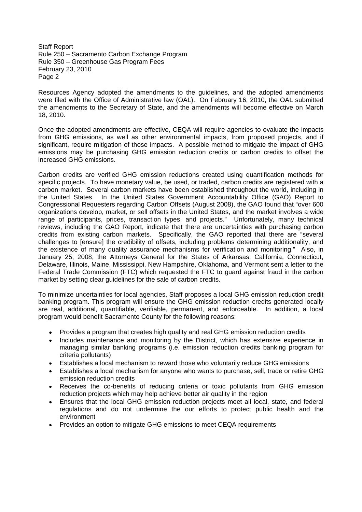Resources Agency adopted the amendments to the guidelines, and the adopted amendments were filed with the Office of Administrative law (OAL). On February 16, 2010, the OAL submitted the amendments to the Secretary of State, and the amendments will become effective on March 18, 2010.

Once the adopted amendments are effective, CEQA will require agencies to evaluate the impacts from GHG emissions, as well as other environmental impacts, from proposed projects, and if significant, require mitigation of those impacts. A possible method to mitigate the impact of GHG emissions may be purchasing GHG emission reduction credits or carbon credits to offset the increased GHG emissions.

Carbon credits are verified GHG emission reductions created using quantification methods for specific projects. To have monetary value, be used, or traded, carbon credits are registered with a carbon market. Several carbon markets have been established throughout the world, including in the United States. In the United States Government Accountability Office (GAO) Report to Congressional Requesters regarding Carbon Offsets (August 2008), the GAO found that "over 600 organizations develop, market, or sell offsets in the United States, and the market involves a wide range of participants, prices, transaction types, and projects." Unfortunately, many technical reviews, including the GAO Report, indicate that there are uncertainties with purchasing carbon credits from existing carbon markets. Specifically, the GAO reported that there are "several challenges to [ensure] the credibility of offsets, including problems determining additionality, and the existence of many quality assurance mechanisms for verification and monitoring." Also, in January 25, 2008, the Attorneys General for the States of Arkansas, California, Connecticut, Delaware, Illinois, Maine, Mississippi, New Hampshire, Oklahoma, and Vermont sent a letter to the Federal Trade Commission (FTC) which requested the FTC to guard against fraud in the carbon market by setting clear guidelines for the sale of carbon credits.

To minimize uncertainties for local agencies, Staff proposes a local GHG emission reduction credit banking program. This program will ensure the GHG emission reduction credits generated locally are real, additional, quantifiable, verifiable, permanent, and enforceable. In addition, a local program would benefit Sacramento County for the following reasons:

- Provides a program that creates high quality and real GHG emission reduction credits
- Includes maintenance and monitoring by the District, which has extensive experience in managing similar banking programs (i.e. emission reduction credits banking program for criteria pollutants)
- Establishes a local mechanism to reward those who voluntarily reduce GHG emissions
- Establishes a local mechanism for anyone who wants to purchase, sell, trade or retire GHG emission reduction credits
- Receives the co-benefits of reducing criteria or toxic pollutants from GHG emission reduction projects which may help achieve better air quality in the region
- Ensures that the local GHG emission reduction projects meet all local, state, and federal regulations and do not undermine the our efforts to protect public health and the environment
- Provides an option to mitigate GHG emissions to meet CEQA requirements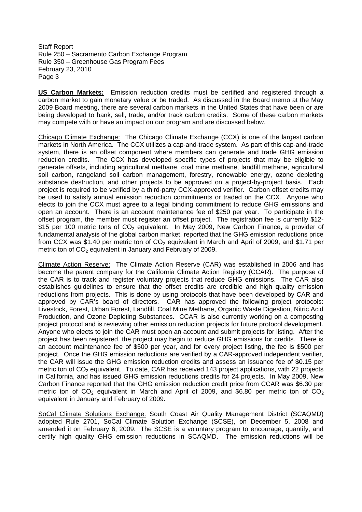**US Carbon Markets:** Emission reduction credits must be certified and registered through a carbon market to gain monetary value or be traded. As discussed in the Board memo at the May 2009 Board meeting, there are several carbon markets in the United States that have been or are being developed to bank, sell, trade, and/or track carbon credits. Some of these carbon markets may compete with or have an impact on our program and are discussed below.

Chicago Climate Exchange: The Chicago Climate Exchange (CCX) is one of the largest carbon markets in North America. The CCX utilizes a cap-and-trade system. As part of this cap-and-trade system, there is an offset component where members can generate and trade GHG emission reduction credits. The CCX has developed specific types of projects that may be eligible to generate offsets, including agricultural methane, coal mine methane, landfill methane, agricultural soil carbon, rangeland soil carbon management, forestry, renewable energy, ozone depleting substance destruction, and other projects to be approved on a project-by-project basis. Each project is required to be verified by a third-party CCX-approved verifier. Carbon offset credits may be used to satisfy annual emission reduction commitments or traded on the CCX. Anyone who elects to join the CCX must agree to a legal binding commitment to reduce GHG emissions and open an account. There is an account maintenance fee of \$250 per year. To participate in the offset program, the member must register an offset project. The registration fee is currently \$12- \$15 per 100 metric tons of  $CO<sub>2</sub>$  equivalent. In May 2009, New Carbon Finance, a provider of fundamental analysis of the global carbon market, reported that the GHG emission reductions price from CCX was \$1.40 per metric ton of  $CO<sub>2</sub>$  equivalent in March and April of 2009, and \$1.71 per metric ton of  $CO<sub>2</sub>$  equivalent in January and February of 2009.

Climate Action Reserve: The Climate Action Reserve (CAR) was established in 2006 and has become the parent company for the California Climate Action Registry (CCAR). The purpose of the CAR is to track and register voluntary projects that reduce GHG emissions. The CAR also establishes guidelines to ensure that the offset credits are credible and high quality emission reductions from projects. This is done by using protocols that have been developed by CAR and approved by CAR's board of directors. CAR has approved the following project protocols: Livestock, Forest, Urban Forest, Landfill, Coal Mine Methane, Organic Waste Digestion, Nitric Acid Production, and Ozone Depleting Substances. CCAR is also currently working on a composting project protocol and is reviewing other emission reduction projects for future protocol development. Anyone who elects to join the CAR must open an account and submit projects for listing. After the project has been registered, the project may begin to reduce GHG emissions for credits. There is an account maintenance fee of \$500 per year, and for every project listing, the fee is \$500 per project. Once the GHG emission reductions are verified by a CAR-approved independent verifier, the CAR will issue the GHG emission reduction credits and assess an issuance fee of \$0.15 per metric ton of  $CO<sub>2</sub>$  equivalent. To date, CAR has received 143 project applications, with 22 projects in California, and has issued GHG emission reductions credits for 24 projects. In May 2009, New Carbon Finance reported that the GHG emission reduction credit price from CCAR was \$6.30 per metric ton of CO<sub>2</sub> equivalent in March and April of 2009, and \$6.80 per metric ton of CO<sub>2</sub> equivalent in January and February of 2009.

SoCal Climate Solutions Exchange: South Coast Air Quality Management District (SCAQMD) adopted Rule 2701, SoCal Climate Solution Exchange (SCSE), on December 5, 2008 and amended it on February 6, 2009. The SCSE is a voluntary program to encourage, quantify, and certify high quality GHG emission reductions in SCAQMD. The emission reductions will be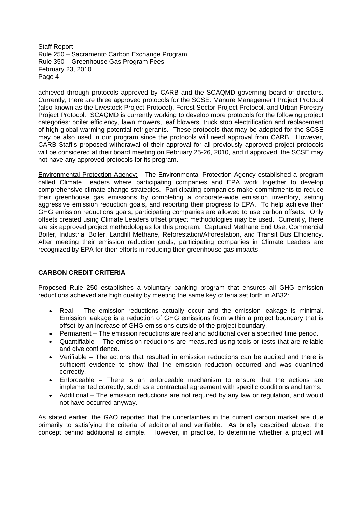achieved through protocols approved by CARB and the SCAQMD governing board of directors. Currently, there are three approved protocols for the SCSE: Manure Management Project Protocol (also known as the Livestock Project Protocol), Forest Sector Project Protocol, and Urban Forestry Project Protocol. SCAQMD is currently working to develop more protocols for the following project categories: boiler efficiency, lawn mowers, leaf blowers, truck stop electrification and replacement of high global warming potential refrigerants. These protocols that may be adopted for the SCSE may be also used in our program since the protocols will need approval from CARB. However, CARB Staff's proposed withdrawal of their approval for all previously approved project protocols will be considered at their board meeting on February 25-26, 2010, and if approved, the SCSE may not have any approved protocols for its program.

Environmental Protection Agency: The Environmental Protection Agency established a program called Climate Leaders where participating companies and EPA work together to develop comprehensive climate change strategies. Participating companies make commitments to reduce their greenhouse gas emissions by completing a corporate-wide emission inventory, setting aggressive emission reduction goals, and reporting their progress to EPA. To help achieve their GHG emission reductions goals, participating companies are allowed to use carbon offsets. Only offsets created using Climate Leaders offset project methodologies may be used. Currently, there are six approved project methodologies for this program: Captured Methane End Use, Commercial Boiler, Industrial Boiler, Landfill Methane, Reforestation/Afforestation, and Transit Bus Efficiency. After meeting their emission reduction goals, participating companies in Climate Leaders are recognized by EPA for their efforts in reducing their greenhouse gas impacts.

# **CARBON CREDIT CRITERIA**

Proposed Rule 250 establishes a voluntary banking program that ensures all GHG emission reductions achieved are high quality by meeting the same key criteria set forth in AB32:

- Real The emission reductions actually occur and the emission leakage is minimal. Emission leakage is a reduction of GHG emissions from within a project boundary that is offset by an increase of GHG emissions outside of the project boundary.
- Permanent The emission reductions are real and additional over a specified time period.
- Quantifiable The emission reductions are measured using tools or tests that are reliable and give confidence.
- Verifiable The actions that resulted in emission reductions can be audited and there is sufficient evidence to show that the emission reduction occurred and was quantified correctly.
- Enforceable There is an enforceable mechanism to ensure that the actions are implemented correctly, such as a contractual agreement with specific conditions and terms.
- Additional The emission reductions are not required by any law or regulation, and would not have occurred anyway.

As stated earlier, the GAO reported that the uncertainties in the current carbon market are due primarily to satisfying the criteria of additional and verifiable. As briefly described above, the concept behind additional is simple. However, in practice, to determine whether a project will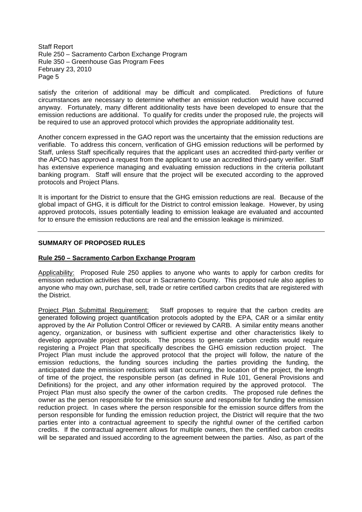satisfy the criterion of additional may be difficult and complicated. Predictions of future circumstances are necessary to determine whether an emission reduction would have occurred anyway. Fortunately, many different additionality tests have been developed to ensure that the emission reductions are additional. To qualify for credits under the proposed rule, the projects will be required to use an approved protocol which provides the appropriate additionality test.

Another concern expressed in the GAO report was the uncertainty that the emission reductions are verifiable. To address this concern, verification of GHG emission reductions will be performed by Staff, unless Staff specifically requires that the applicant uses an accredited third-party verifier or the APCO has approved a request from the applicant to use an accredited third-party verifier. Staff has extensive experience managing and evaluating emission reductions in the criteria pollutant banking program. Staff will ensure that the project will be executed according to the approved protocols and Project Plans.

It is important for the District to ensure that the GHG emission reductions are real. Because of the global impact of GHG, it is difficult for the District to control emission leakage. However, by using approved protocols, issues potentially leading to emission leakage are evaluated and accounted for to ensure the emission reductions are real and the emission leakage is minimized.

### **SUMMARY OF PROPOSED RULES**

### **Rule 250 – Sacramento Carbon Exchange Program**

Applicability: Proposed Rule 250 applies to anyone who wants to apply for carbon credits for emission reduction activities that occur in Sacramento County. This proposed rule also applies to anyone who may own, purchase, sell, trade or retire certified carbon credits that are registered with the District.

Project Plan Submittal Requirement: Staff proposes to require that the carbon credits are generated following project quantification protocols adopted by the EPA, CAR or a similar entity approved by the Air Pollution Control Officer or reviewed by CARB. A similar entity means another agency, organization, or business with sufficient expertise and other characteristics likely to develop approvable project protocols. The process to generate carbon credits would require registering a Project Plan that specifically describes the GHG emission reduction project. The Project Plan must include the approved protocol that the project will follow, the nature of the emission reductions, the funding sources including the parties providing the funding, the anticipated date the emission reductions will start occurring, the location of the project, the length of time of the project, the responsible person (as defined in Rule 101, General Provisions and Definitions) for the project, and any other information required by the approved protocol. The Project Plan must also specify the owner of the carbon credits. The proposed rule defines the owner as the person responsible for the emission source and responsible for funding the emission reduction project. In cases where the person responsible for the emission source differs from the person responsible for funding the emission reduction project, the District will require that the two parties enter into a contractual agreement to specify the rightful owner of the certified carbon credits. If the contractual agreement allows for multiple owners, then the certified carbon credits will be separated and issued according to the agreement between the parties. Also, as part of the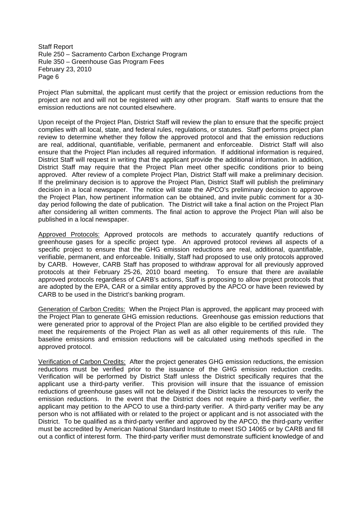Project Plan submittal, the applicant must certify that the project or emission reductions from the project are not and will not be registered with any other program. Staff wants to ensure that the emission reductions are not counted elsewhere.

Upon receipt of the Project Plan, District Staff will review the plan to ensure that the specific project complies with all local, state, and federal rules, regulations, or statutes. Staff performs project plan review to determine whether they follow the approved protocol and that the emission reductions are real, additional, quantifiable, verifiable, permanent and enforceable. District Staff will also ensure that the Project Plan includes all required information. If additional information is required, District Staff will request in writing that the applicant provide the additional information. In addition, District Staff may require that the Project Plan meet other specific conditions prior to being approved. After review of a complete Project Plan, District Staff will make a preliminary decision. If the preliminary decision is to approve the Project Plan, District Staff will publish the preliminary decision in a local newspaper. The notice will state the APCO's preliminary decision to approve the Project Plan, how pertinent information can be obtained, and invite public comment for a 30 day period following the date of publication. The District will take a final action on the Project Plan after considering all written comments. The final action to approve the Project Plan will also be published in a local newspaper.

Approved Protocols: Approved protocols are methods to accurately quantify reductions of greenhouse gases for a specific project type. An approved protocol reviews all aspects of a specific project to ensure that the GHG emission reductions are real, additional, quantifiable, verifiable, permanent, and enforceable. Initially, Staff had proposed to use only protocols approved by CARB. However, CARB Staff has proposed to withdraw approval for all previously approved protocols at their February 25-26, 2010 board meeting. To ensure that there are available approved protocols regardless of CARB's actions, Staff is proposing to allow project protocols that are adopted by the EPA, CAR or a similar entity approved by the APCO or have been reviewed by CARB to be used in the District's banking program.

Generation of Carbon Credits: When the Project Plan is approved, the applicant may proceed with the Project Plan to generate GHG emission reductions. Greenhouse gas emission reductions that were generated prior to approval of the Project Plan are also eligible to be certified provided they meet the requirements of the Project Plan as well as all other requirements of this rule. The baseline emissions and emission reductions will be calculated using methods specified in the approved protocol.

Verification of Carbon Credits: After the project generates GHG emission reductions, the emission reductions must be verified prior to the issuance of the GHG emission reduction credits. Verification will be performed by District Staff unless the District specifically requires that the applicant use a third-party verifier. This provision will insure that the issuance of emission reductions of greenhouse gases will not be delayed if the District lacks the resources to verify the emission reductions. In the event that the District does not require a third-party verifier, the applicant may petition to the APCO to use a third-party verifier. A third-party verifier may be any person who is not affiliated with or related to the project or applicant and is not associated with the District. To be qualified as a third-party verifier and approved by the APCO, the third-party verifier must be accredited by American National Standard Institute to meet ISO 14065 or by CARB and fill out a conflict of interest form. The third-party verifier must demonstrate sufficient knowledge of and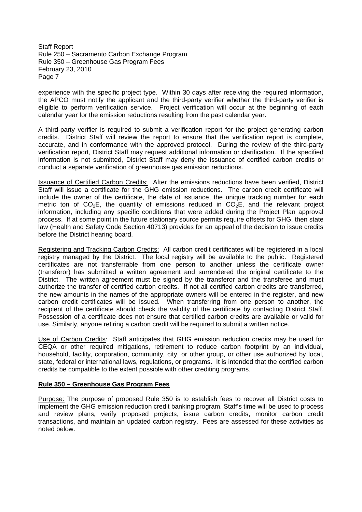experience with the specific project type. Within 30 days after receiving the required information, the APCO must notify the applicant and the third-party verifier whether the third-party verifier is eligible to perform verification service. Project verification will occur at the beginning of each calendar year for the emission reductions resulting from the past calendar year.

A third-party verifier is required to submit a verification report for the project generating carbon credits. District Staff will review the report to ensure that the verification report is complete, accurate, and in conformance with the approved protocol. During the review of the third-party verification report, District Staff may request additional information or clarification. If the specified information is not submitted, District Staff may deny the issuance of certified carbon credits or conduct a separate verification of greenhouse gas emission reductions.

Issuance of Certified Carbon Credits: After the emissions reductions have been verified, District Staff will issue a certificate for the GHG emission reductions. The carbon credit certificate will include the owner of the certificate, the date of issuance, the unique tracking number for each metric ton of  $CO<sub>2</sub>E$ , the quantity of emissions reduced in  $CO<sub>2</sub>E$ , and the relevant project information, including any specific conditions that were added during the Project Plan approval process. If at some point in the future stationary source permits require offsets for GHG, then state law (Health and Safety Code Section 40713) provides for an appeal of the decision to issue credits before the District hearing board.

Registering and Tracking Carbon Credits: All carbon credit certificates will be registered in a local registry managed by the District. The local registry will be available to the public. Registered certificates are not transferrable from one person to another unless the certificate owner (transferor) has submitted a written agreement and surrendered the original certificate to the District. The written agreement must be signed by the transferor and the transferee and must authorize the transfer of certified carbon credits. If not all certified carbon credits are transferred, the new amounts in the names of the appropriate owners will be entered in the register, and new carbon credit certificates will be issued. When transferring from one person to another, the recipient of the certificate should check the validity of the certificate by contacting District Staff. Possession of a certificate does not ensure that certified carbon credits are available or valid for use. Similarly, anyone retiring a carbon credit will be required to submit a written notice.

Use of Carbon Credits: Staff anticipates that GHG emission reduction credits may be used for CEQA or other required mitigations, retirement to reduce carbon footprint by an individual, household, facility, corporation, community, city, or other group, or other use authorized by local, state, federal or international laws, regulations, or programs. It is intended that the certified carbon credits be compatible to the extent possible with other crediting programs.

### **Rule 350 – Greenhouse Gas Program Fees**

Purpose: The purpose of proposed Rule 350 is to establish fees to recover all District costs to implement the GHG emission reduction credit banking program. Staff's time will be used to process and review plans, verify proposed projects, issue carbon credits, monitor carbon credit transactions, and maintain an updated carbon registry. Fees are assessed for these activities as noted below.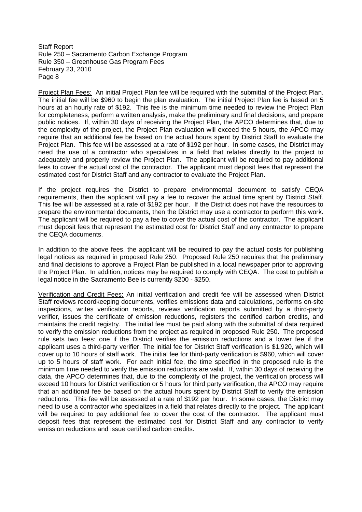Project Plan Fees: An initial Project Plan fee will be required with the submittal of the Project Plan. The initial fee will be \$960 to begin the plan evaluation. The initial Project Plan fee is based on 5 hours at an hourly rate of \$192. This fee is the minimum time needed to review the Project Plan for completeness, perform a written analysis, make the preliminary and final decisions, and prepare public notices. If, within 30 days of receiving the Project Plan, the APCO determines that, due to the complexity of the project, the Project Plan evaluation will exceed the 5 hours, the APCO may require that an additional fee be based on the actual hours spent by District Staff to evaluate the Project Plan. This fee will be assessed at a rate of \$192 per hour. In some cases, the District may need the use of a contractor who specializes in a field that relates directly to the project to adequately and properly review the Project Plan. The applicant will be required to pay additional fees to cover the actual cost of the contractor. The applicant must deposit fees that represent the estimated cost for District Staff and any contractor to evaluate the Project Plan.

If the project requires the District to prepare environmental document to satisfy CEQA requirements, then the applicant will pay a fee to recover the actual time spent by District Staff. This fee will be assessed at a rate of \$192 per hour. If the District does not have the resources to prepare the environmental documents, then the District may use a contractor to perform this work. The applicant will be required to pay a fee to cover the actual cost of the contractor. The applicant must deposit fees that represent the estimated cost for District Staff and any contractor to prepare the CEQA documents.

In addition to the above fees, the applicant will be required to pay the actual costs for publishing legal notices as required in proposed Rule 250. Proposed Rule 250 requires that the preliminary and final decisions to approve a Project Plan be published in a local newspaper prior to approving the Project Plan. In addition, notices may be required to comply with CEQA. The cost to publish a legal notice in the Sacramento Bee is currently \$200 - \$250.

Verification and Credit Fees: An initial verification and credit fee will be assessed when District Staff reviews recordkeeping documents, verifies emissions data and calculations, performs on-site inspections, writes verification reports, reviews verification reports submitted by a third-party verifier, issues the certificate of emission reductions, registers the certified carbon credits, and maintains the credit registry. The initial fee must be paid along with the submittal of data required to verify the emission reductions from the project as required in proposed Rule 250. The proposed rule sets two fees: one if the District verifies the emission reductions and a lower fee if the applicant uses a third-party verifier. The initial fee for District Staff verification is \$1,920, which will cover up to 10 hours of staff work. The initial fee for third-party verification is \$960, which will cover up to 5 hours of staff work. For each initial fee, the time specified in the proposed rule is the minimum time needed to verify the emission reductions are valid. If, within 30 days of receiving the data, the APCO determines that, due to the complexity of the project, the verification process will exceed 10 hours for District verification or 5 hours for third party verification, the APCO may require that an additional fee be based on the actual hours spent by District Staff to verify the emission reductions. This fee will be assessed at a rate of \$192 per hour. In some cases, the District may need to use a contractor who specializes in a field that relates directly to the project. The applicant will be required to pay additional fee to cover the cost of the contractor. The applicant must deposit fees that represent the estimated cost for District Staff and any contractor to verify emission reductions and issue certified carbon credits.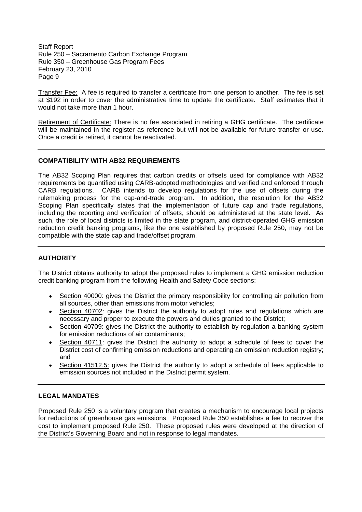Transfer Fee: A fee is required to transfer a certificate from one person to another. The fee is set at \$192 in order to cover the administrative time to update the certificate. Staff estimates that it would not take more than 1 hour.

Retirement of Certificate: There is no fee associated in retiring a GHG certificate. The certificate will be maintained in the register as reference but will not be available for future transfer or use. Once a credit is retired, it cannot be reactivated.

# **COMPATIBILITY WITH AB32 REQUIREMENTS**

The AB32 Scoping Plan requires that carbon credits or offsets used for compliance with AB32 requirements be quantified using CARB-adopted methodologies and verified and enforced through CARB regulations. CARB intends to develop regulations for the use of offsets during the rulemaking process for the cap-and-trade program. In addition, the resolution for the AB32 Scoping Plan specifically states that the implementation of future cap and trade regulations, including the reporting and verification of offsets, should be administered at the state level. As such, the role of local districts is limited in the state program, and district-operated GHG emission reduction credit banking programs, like the one established by proposed Rule 250, may not be compatible with the state cap and trade/offset program.

# **AUTHORITY**

The District obtains authority to adopt the proposed rules to implement a GHG emission reduction credit banking program from the following Health and Safety Code sections:

- Section 40000: gives the District the primary responsibility for controlling air pollution from all sources, other than emissions from motor vehicles;
- Section 40702: gives the District the authority to adopt rules and regulations which are necessary and proper to execute the powers and duties granted to the District;
- Section 40709: gives the District the authority to establish by regulation a banking system  $\bullet$ for emission reductions of air contaminants;
- Section 40711: gives the District the authority to adopt a schedule of fees to cover the District cost of confirming emission reductions and operating an emission reduction registry; and
- Section 41512.5: gives the District the authority to adopt a schedule of fees applicable to emission sources not included in the District permit system.

# **LEGAL MANDATES**

Proposed Rule 250 is a voluntary program that creates a mechanism to encourage local projects for reductions of greenhouse gas emissions. Proposed Rule 350 establishes a fee to recover the cost to implement proposed Rule 250. These proposed rules were developed at the direction of the District's Governing Board and not in response to legal mandates.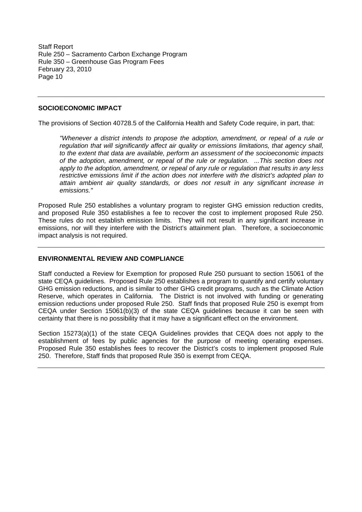### **SOCIOECONOMIC IMPACT**

The provisions of Section 40728.5 of the California Health and Safety Code require, in part, that:

*"Whenever a district intends to propose the adoption, amendment, or repeal of a rule or regulation that will significantly affect air quality or emissions limitations, that agency shall, to the extent that data are available, perform an assessment of the socioeconomic impacts of the adoption, amendment, or repeal of the rule or regulation. ...This section does not apply to the adoption, amendment, or repeal of any rule or regulation that results in any less restrictive emissions limit if the action does not interfere with the district's adopted plan to attain ambient air quality standards, or does not result in any significant increase in emissions."*

Proposed Rule 250 establishes a voluntary program to register GHG emission reduction credits, and proposed Rule 350 establishes a fee to recover the cost to implement proposed Rule 250. These rules do not establish emission limits. They will not result in any significant increase in emissions, nor will they interfere with the District's attainment plan. Therefore, a socioeconomic impact analysis is not required.

### **ENVIRONMENTAL REVIEW AND COMPLIANCE**

Staff conducted a Review for Exemption for proposed Rule 250 pursuant to section 15061 of the state CEQA guidelines. Proposed Rule 250 establishes a program to quantify and certify voluntary GHG emission reductions, and is similar to other GHG credit programs, such as the Climate Action Reserve, which operates in California. The District is not involved with funding or generating emission reductions under proposed Rule 250. Staff finds that proposed Rule 250 is exempt from CEQA under Section 15061(b)(3) of the state CEQA guidelines because it can be seen with certainty that there is no possibility that it may have a significant effect on the environment.

Section 15273(a)(1) of the state CEQA Guidelines provides that CEQA does not apply to the establishment of fees by public agencies for the purpose of meeting operating expenses. Proposed Rule 350 establishes fees to recover the District's costs to implement proposed Rule 250. Therefore, Staff finds that proposed Rule 350 is exempt from CEQA.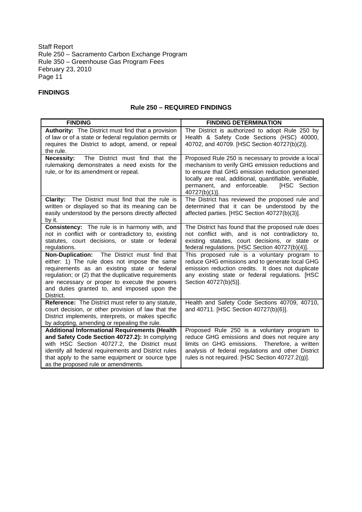# **FINDINGS**

# **Rule 250 – REQUIRED FINDINGS**

| <b>FINDING</b>                                                                                                                                                                                                                                                                                                    | <b>FINDING DETERMINATION</b>                                                                                                                                                                                                                                                       |
|-------------------------------------------------------------------------------------------------------------------------------------------------------------------------------------------------------------------------------------------------------------------------------------------------------------------|------------------------------------------------------------------------------------------------------------------------------------------------------------------------------------------------------------------------------------------------------------------------------------|
| <b>Authority:</b> The District must find that a provision<br>of law or of a state or federal regulation permits or<br>requires the District to adopt, amend, or repeal<br>the rule.                                                                                                                               | The District is authorized to adopt Rule 250 by<br>Health & Safety Code Sections (HSC) 40000,<br>40702, and 40709. [HSC Section 40727(b)(2)].                                                                                                                                      |
| <b>Necessity:</b><br>The District must find that the<br>rulemaking demonstrates a need exists for the<br>rule, or for its amendment or repeal.                                                                                                                                                                    | Proposed Rule 250 is necessary to provide a local<br>mechanism to verify GHG emission reductions and<br>to ensure that GHG emission reduction generated<br>locally are real, additional, quantifiable, verifiable,<br>permanent, and enforceable.<br>[HSC Section<br>40727(b)(1)]. |
| The District must find that the rule is<br><b>Clarity:</b><br>written or displayed so that its meaning can be<br>easily understood by the persons directly affected<br>by it.                                                                                                                                     | The District has reviewed the proposed rule and<br>determined that it can be understood by the<br>affected parties. [HSC Section 40727(b)(3)].                                                                                                                                     |
| Consistency: The rule is in harmony with, and<br>not in conflict with or contradictory to, existing<br>statutes, court decisions, or state or federal<br>regulations.                                                                                                                                             | The District has found that the proposed rule does<br>not conflict with, and is not contradictory to,<br>existing statutes, court decisions, or state or<br>federal regulations. [HSC Section 40727(b)(4)].                                                                        |
| Non-Duplication: The District must find that<br>either: 1) The rule does not impose the same<br>requirements as an existing state or federal<br>regulation; or (2) that the duplicative requirements<br>are necessary or proper to execute the powers<br>and duties granted to, and imposed upon the<br>District. | This proposed rule is a voluntary program to<br>reduce GHG emissions and to generate local GHG<br>emission reduction credits. It does not duplicate<br>any existing state or federal regulations. [HSC<br>Section 40727(b)(5)].                                                    |
| Reference: The District must refer to any statute,<br>court decision, or other provision of law that the<br>District implements, interprets, or makes specific<br>by adopting, amending or repealing the rule.                                                                                                    | Health and Safety Code Sections 40709, 40710,<br>and 40711. [HSC Section 40727(b)(6)].                                                                                                                                                                                             |
| <b>Additional Informational Requirements (Health</b><br>and Safety Code Section 40727.2): In complying<br>with HSC Section 40727.2, the District must<br>identify all federal requirements and District rules<br>that apply to the same equipment or source type<br>as the proposed rule or amendments.           | Proposed Rule 250 is a voluntary program to<br>reduce GHG emissions and does not require any<br>limits on GHG emissions.<br>Therefore, a written<br>analysis of federal regulations and other District<br>rules is not required. [HSC Section 40727.2(g)].                         |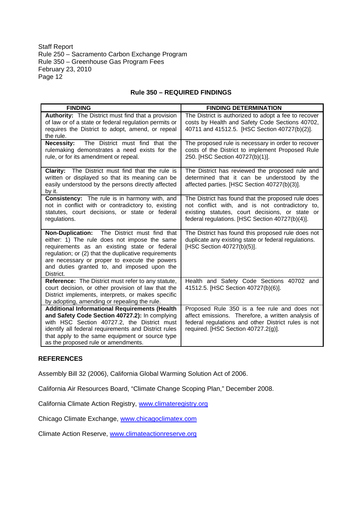### **Rule 350 – REQUIRED FINDINGS**

| <b>FINDING</b>                                                                                                                                                                                                                                                                                                              | <b>FINDING DETERMINATION</b>                                                                                                                                                                                |
|-----------------------------------------------------------------------------------------------------------------------------------------------------------------------------------------------------------------------------------------------------------------------------------------------------------------------------|-------------------------------------------------------------------------------------------------------------------------------------------------------------------------------------------------------------|
| Authority: The District must find that a provision<br>of law or of a state or federal regulation permits or<br>requires the District to adopt, amend, or repeal<br>the rule.                                                                                                                                                | The District is authorized to adopt a fee to recover<br>costs by Health and Safety Code Sections 40702,<br>40711 and 41512.5. [HSC Section 40727(b)(2)].                                                    |
| The District must find that the<br><b>Necessity:</b><br>rulemaking demonstrates a need exists for the<br>rule, or for its amendment or repeal.                                                                                                                                                                              | The proposed rule is necessary in order to recover<br>costs of the District to implement Proposed Rule<br>250. [HSC Section 40727(b)(1)].                                                                   |
| Clarity: The District must find that the rule is<br>written or displayed so that its meaning can be<br>easily understood by the persons directly affected<br>by it.                                                                                                                                                         | The District has reviewed the proposed rule and<br>determined that it can be understood by the<br>affected parties. [HSC Section 40727(b)(3)].                                                              |
| Consistency: The rule is in harmony with, and<br>not in conflict with or contradictory to, existing<br>statutes, court decisions, or state or federal<br>regulations.                                                                                                                                                       | The District has found that the proposed rule does<br>not conflict with, and is not contradictory to,<br>existing statutes, court decisions, or state or<br>federal regulations. [HSC Section 40727(b)(4)]. |
| The District must find that<br><b>Non-Duplication:</b><br>either: 1) The rule does not impose the same<br>requirements as an existing state or federal<br>regulation; or (2) that the duplicative requirements<br>are necessary or proper to execute the powers<br>and duties granted to, and imposed upon the<br>District. | The District has found this proposed rule does not<br>duplicate any existing state or federal regulations.<br>[HSC Section 40727(b)(5)].                                                                    |
| Reference: The District must refer to any statute,<br>court decision, or other provision of law that the<br>District implements, interprets, or makes specific<br>by adopting, amending or repealing the rule.                                                                                                              | Health and Safety Code Sections 40702 and<br>41512.5. [HSC Section 40727(b)(6)].                                                                                                                            |
| <b>Additional Informational Requirements (Health</b><br>and Safety Code Section 40727.2): In complying<br>with HSC Section 40727.2, the District must<br>identify all federal requirements and District rules<br>that apply to the same equipment or source type<br>as the proposed rule or amendments.                     | Proposed Rule 350 is a fee rule and does not<br>affect emissions. Therefore, a written analysis of<br>federal regulations and other District rules is not<br>required. [HSC Section 40727.2(g)].            |

### **REFERENCES**

Assembly Bill 32 (2006), California Global Warming Solution Act of 2006.

California Air Resources Board, "Climate Change Scoping Plan," December 2008.

California Climate Action Registry, www.climateregistry.org

Chicago Climate Exchange, www.chicagoclimatex.com

Climate Action Reserve, www.climateactionreserve.org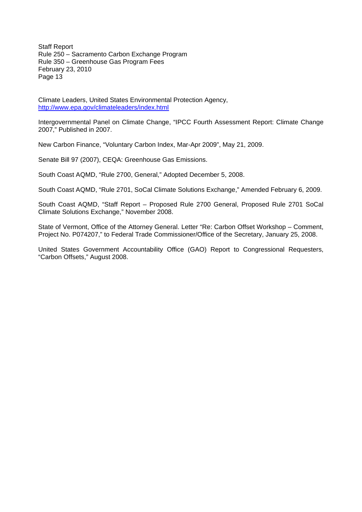Climate Leaders, United States Environmental Protection Agency, http://www.epa.gov/climateleaders/index.html

Intergovernmental Panel on Climate Change, "IPCC Fourth Assessment Report: Climate Change 2007," Published in 2007.

New Carbon Finance, "Voluntary Carbon Index, Mar-Apr 2009", May 21, 2009.

Senate Bill 97 (2007), CEQA: Greenhouse Gas Emissions.

South Coast AQMD, "Rule 2700, General," Adopted December 5, 2008.

South Coast AQMD, "Rule 2701, SoCal Climate Solutions Exchange," Amended February 6, 2009.

South Coast AQMD, "Staff Report – Proposed Rule 2700 General, Proposed Rule 2701 SoCal Climate Solutions Exchange," November 2008.

State of Vermont, Office of the Attorney General. Letter "Re: Carbon Offset Workshop – Comment, Project No. P074207," to Federal Trade Commissioner/Office of the Secretary, January 25, 2008.

United States Government Accountability Office (GAO) Report to Congressional Requesters, "Carbon Offsets," August 2008.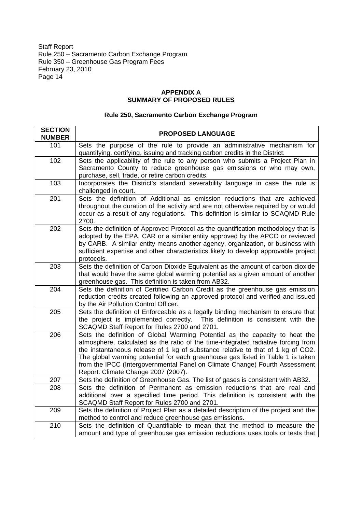### **APPENDIX A SUMMARY OF PROPOSED RULES**

| <b>SECTION</b><br><b>NUMBER</b> | <b>PROPOSED LANGUAGE</b>                                                                                                                                                                                                                                                                                                                                                                                                                                     |
|---------------------------------|--------------------------------------------------------------------------------------------------------------------------------------------------------------------------------------------------------------------------------------------------------------------------------------------------------------------------------------------------------------------------------------------------------------------------------------------------------------|
| 101                             | Sets the purpose of the rule to provide an administrative mechanism for<br>quantifying, certifying, issuing and tracking carbon credits in the District.                                                                                                                                                                                                                                                                                                     |
| 102                             | Sets the applicability of the rule to any person who submits a Project Plan in<br>Sacramento County to reduce greenhouse gas emissions or who may own,<br>purchase, sell, trade, or retire carbon credits.                                                                                                                                                                                                                                                   |
| 103                             | Incorporates the District's standard severability language in case the rule is<br>challenged in court.                                                                                                                                                                                                                                                                                                                                                       |
| 201                             | Sets the definition of Additional as emission reductions that are achieved<br>throughout the duration of the activity and are not otherwise required by or would<br>occur as a result of any regulations. This definition is similar to SCAQMD Rule<br>2700.                                                                                                                                                                                                 |
| 202                             | Sets the definition of Approved Protocol as the quantification methodology that is<br>adopted by the EPA, CAR or a similar entity approved by the APCO or reviewed<br>by CARB. A similar entity means another agency, organization, or business with<br>sufficient expertise and other characteristics likely to develop approvable project<br>protocols.                                                                                                    |
| 203                             | Sets the definition of Carbon Dioxide Equivalent as the amount of carbon dioxide<br>that would have the same global warming potential as a given amount of another<br>greenhouse gas. This definition is taken from AB32.                                                                                                                                                                                                                                    |
| 204                             | Sets the definition of Certified Carbon Credit as the greenhouse gas emission<br>reduction credits created following an approved protocol and verified and issued<br>by the Air Pollution Control Officer.                                                                                                                                                                                                                                                   |
| 205                             | Sets the definition of Enforceable as a legally binding mechanism to ensure that<br>the project is implemented correctly. This definition is consistent with the<br>SCAQMD Staff Report for Rules 2700 and 2701.                                                                                                                                                                                                                                             |
| 206                             | Sets the definition of Global Warming Potential as the capacity to heat the<br>atmosphere, calculated as the ratio of the time-integrated radiative forcing from<br>the instantaneous release of 1 kg of substance relative to that of 1 kg of CO2.<br>The global warming potential for each greenhouse gas listed in Table 1 is taken<br>from the IPCC (Intergovernmental Panel on Climate Change) Fourth Assessment<br>Report: Climate Change 2007 (2007). |
| 207                             | Sets the definition of Greenhouse Gas. The list of gases is consistent with AB32.                                                                                                                                                                                                                                                                                                                                                                            |
| 208                             | Sets the definition of Permanent as emission reductions that are real and<br>additional over a specified time period. This definition is consistent with the<br>SCAQMD Staff Report for Rules 2700 and 2701.                                                                                                                                                                                                                                                 |
| 209                             | Sets the definition of Project Plan as a detailed description of the project and the<br>method to control and reduce greenhouse gas emissions.                                                                                                                                                                                                                                                                                                               |
| 210                             | Sets the definition of Quantifiable to mean that the method to measure the<br>amount and type of greenhouse gas emission reductions uses tools or tests that                                                                                                                                                                                                                                                                                                 |

# **Rule 250, Sacramento Carbon Exchange Program**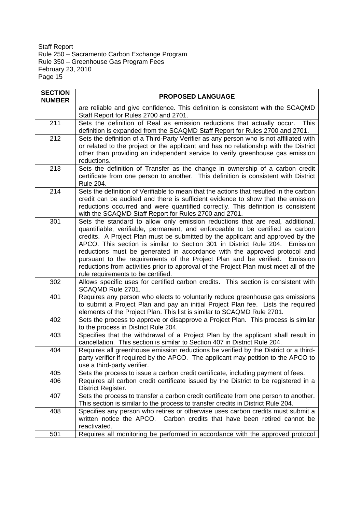| <b>SECTION</b><br><b>NUMBER</b> | <b>PROPOSED LANGUAGE</b>                                                                                                                                                                                                                                                                                                                                                                                                                                                                                                                                                                                                          |
|---------------------------------|-----------------------------------------------------------------------------------------------------------------------------------------------------------------------------------------------------------------------------------------------------------------------------------------------------------------------------------------------------------------------------------------------------------------------------------------------------------------------------------------------------------------------------------------------------------------------------------------------------------------------------------|
|                                 | are reliable and give confidence. This definition is consistent with the SCAQMD<br>Staff Report for Rules 2700 and 2701.                                                                                                                                                                                                                                                                                                                                                                                                                                                                                                          |
| 211                             | Sets the definition of Real as emission reductions that actually occur.<br>This<br>definition is expanded from the SCAQMD Staff Report for Rules 2700 and 2701.                                                                                                                                                                                                                                                                                                                                                                                                                                                                   |
| 212                             | Sets the definition of a Third-Party Verifier as any person who is not affiliated with<br>or related to the project or the applicant and has no relationship with the District<br>other than providing an independent service to verify greenhouse gas emission<br>reductions.                                                                                                                                                                                                                                                                                                                                                    |
| 213                             | Sets the definition of Transfer as the change in ownership of a carbon credit<br>certificate from one person to another. This definition is consistent with District<br>Rule 204.                                                                                                                                                                                                                                                                                                                                                                                                                                                 |
| 214                             | Sets the definition of Verifiable to mean that the actions that resulted in the carbon<br>credit can be audited and there is sufficient evidence to show that the emission<br>reductions occurred and were quantified correctly. This definition is consistent<br>with the SCAQMD Staff Report for Rules 2700 and 2701.                                                                                                                                                                                                                                                                                                           |
| 301                             | Sets the standard to allow only emission reductions that are real, additional,<br>quantifiable, verifiable, permanent, and enforceable to be certified as carbon<br>credits. A Project Plan must be submitted by the applicant and approved by the<br>APCO. This section is similar to Section 301 in District Rule 204.<br>Emission<br>reductions must be generated in accordance with the approved protocol and<br>pursuant to the requirements of the Project Plan and be verified.<br>Emission<br>reductions from activities prior to approval of the Project Plan must meet all of the<br>rule requirements to be certified. |
| 302                             | Allows specific uses for certified carbon credits. This section is consistent with<br>SCAQMD Rule 2701.                                                                                                                                                                                                                                                                                                                                                                                                                                                                                                                           |
| 401                             | Requires any person who elects to voluntarily reduce greenhouse gas emissions<br>to submit a Project Plan and pay an initial Project Plan fee. Lists the required<br>elements of the Project Plan. This list is similar to SCAQMD Rule 2701.                                                                                                                                                                                                                                                                                                                                                                                      |
| 402                             | Sets the process to approve or disapprove a Project Plan. This process is similar<br>to the process in District Rule 204.                                                                                                                                                                                                                                                                                                                                                                                                                                                                                                         |
| 403                             | Specifies that the withdrawal of a Project Plan by the applicant shall result in<br>cancellation. This section is similar to Section 407 in District Rule 204.                                                                                                                                                                                                                                                                                                                                                                                                                                                                    |
| 404                             | Requires all greenhouse emission reductions be verified by the District or a third-<br>party verifier if required by the APCO. The applicant may petition to the APCO to<br>use a third-party verifier.                                                                                                                                                                                                                                                                                                                                                                                                                           |
| 405                             | Sets the process to issue a carbon credit certificate, including payment of fees.                                                                                                                                                                                                                                                                                                                                                                                                                                                                                                                                                 |
| 406                             | Requires all carbon credit certificate issued by the District to be registered in a<br>District Register.                                                                                                                                                                                                                                                                                                                                                                                                                                                                                                                         |
| 407                             | Sets the process to transfer a carbon credit certificate from one person to another.<br>This section is similar to the process to transfer credits in District Rule 204.                                                                                                                                                                                                                                                                                                                                                                                                                                                          |
| 408                             | Specifies any person who retires or otherwise uses carbon credits must submit a<br>written notice the APCO. Carbon credits that have been retired cannot be<br>reactivated.                                                                                                                                                                                                                                                                                                                                                                                                                                                       |
| 501                             | Requires all monitoring be performed in accordance with the approved protocol                                                                                                                                                                                                                                                                                                                                                                                                                                                                                                                                                     |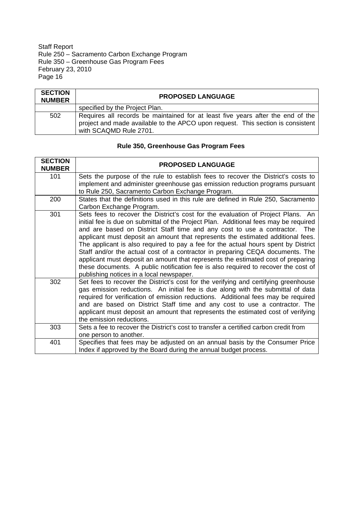| <b>SECTION</b><br><b>NUMBER</b> | <b>PROPOSED LANGUAGE</b>                                                                                                                                                                     |
|---------------------------------|----------------------------------------------------------------------------------------------------------------------------------------------------------------------------------------------|
|                                 | specified by the Project Plan.                                                                                                                                                               |
| 502                             | Requires all records be maintained for at least five years after the end of the<br>project and made available to the APCO upon request. This section is consistent<br>with SCAQMD Rule 2701. |

# **Rule 350, Greenhouse Gas Program Fees**

| <b>SECTION</b><br><b>NUMBER</b> | <b>PROPOSED LANGUAGE</b>                                                                                                                                                                                                                                                                                                                                                                                                                                                                                                                                                                                                                                                                                                               |
|---------------------------------|----------------------------------------------------------------------------------------------------------------------------------------------------------------------------------------------------------------------------------------------------------------------------------------------------------------------------------------------------------------------------------------------------------------------------------------------------------------------------------------------------------------------------------------------------------------------------------------------------------------------------------------------------------------------------------------------------------------------------------------|
| 101                             | Sets the purpose of the rule to establish fees to recover the District's costs to<br>implement and administer greenhouse gas emission reduction programs pursuant<br>to Rule 250, Sacramento Carbon Exchange Program.                                                                                                                                                                                                                                                                                                                                                                                                                                                                                                                  |
| 200                             | States that the definitions used in this rule are defined in Rule 250, Sacramento<br>Carbon Exchange Program.                                                                                                                                                                                                                                                                                                                                                                                                                                                                                                                                                                                                                          |
| 301                             | Sets fees to recover the District's cost for the evaluation of Project Plans. An<br>initial fee is due on submittal of the Project Plan. Additional fees may be required<br>and are based on District Staff time and any cost to use a contractor. The<br>applicant must deposit an amount that represents the estimated additional fees.<br>The applicant is also required to pay a fee for the actual hours spent by District<br>Staff and/or the actual cost of a contractor in preparing CEQA documents. The<br>applicant must deposit an amount that represents the estimated cost of preparing<br>these documents. A public notification fee is also required to recover the cost of<br>publishing notices in a local newspaper. |
| 302                             | Set fees to recover the District's cost for the verifying and certifying greenhouse<br>gas emission reductions. An initial fee is due along with the submittal of data<br>required for verification of emission reductions. Additional fees may be required<br>and are based on District Staff time and any cost to use a contractor. The<br>applicant must deposit an amount that represents the estimated cost of verifying<br>the emission reductions.                                                                                                                                                                                                                                                                              |
| 303                             | Sets a fee to recover the District's cost to transfer a certified carbon credit from<br>one person to another.                                                                                                                                                                                                                                                                                                                                                                                                                                                                                                                                                                                                                         |
| 401                             | Specifies that fees may be adjusted on an annual basis by the Consumer Price<br>Index if approved by the Board during the annual budget process.                                                                                                                                                                                                                                                                                                                                                                                                                                                                                                                                                                                       |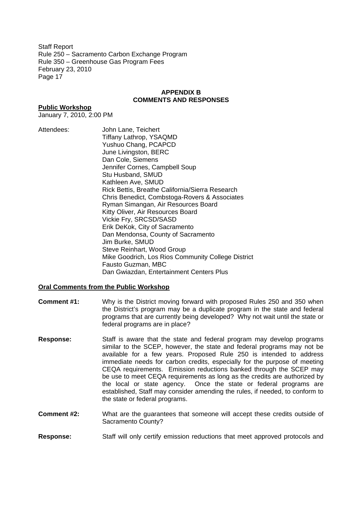### **APPENDIX B COMMENTS AND RESPONSES**

### **Public Workshop**

January 7, 2010, 2:00 PM

Attendees: John Lane, Teichert Tiffany Lathrop, YSAQMD Yushuo Chang, PCAPCD June Livingston, BERC Dan Cole, Siemens Jennifer Cornes, Campbell Soup Stu Husband, SMUD Kathleen Ave, SMUD Rick Bettis, Breathe California/Sierra Research Chris Benedict, Combstoga-Rovers & Associates Ryman Simangan, Air Resources Board Kitty Oliver, Air Resources Board Vickie Fry, SRCSD/SASD Erik DeKok, City of Sacramento Dan Mendonsa, County of Sacramento Jim Burke, SMUD Steve Reinhart, Wood Group Mike Goodrich, Los Rios Community College District Fausto Guzman, MBC Dan Gwiazdan, Entertainment Centers Plus

### **Oral Comments from the Public Workshop**

- **Comment #1:** Why is the District moving forward with proposed Rules 250 and 350 when the District's program may be a duplicate program in the state and federal programs that are currently being developed? Why not wait until the state or federal programs are in place?
- **Response:** Staff is aware that the state and federal program may develop programs similar to the SCEP, however, the state and federal programs may not be available for a few years. Proposed Rule 250 is intended to address immediate needs for carbon credits, especially for the purpose of meeting CEQA requirements. Emission reductions banked through the SCEP may be use to meet CEQA requirements as long as the credits are authorized by the local or state agency. Once the state or federal programs are established, Staff may consider amending the rules, if needed, to conform to the state or federal programs.
- **Comment #2:** What are the guarantees that someone will accept these credits outside of Sacramento County?
- **Response:** Staff will only certify emission reductions that meet approved protocols and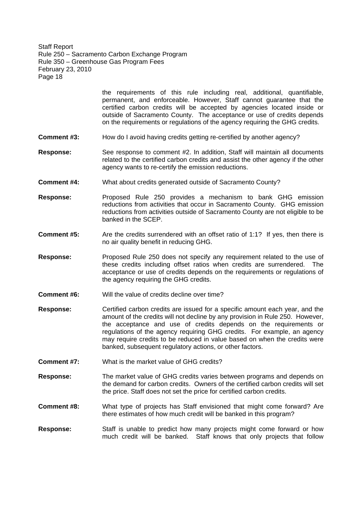> the requirements of this rule including real, additional, quantifiable, permanent, and enforceable. However, Staff cannot guarantee that the certified carbon credits will be accepted by agencies located inside or outside of Sacramento County. The acceptance or use of credits depends on the requirements or regulations of the agency requiring the GHG credits.

- **Comment #3:** How do I avoid having credits getting re-certified by another agency?
- **Response:** See response to comment #2. In addition, Staff will maintain all documents related to the certified carbon credits and assist the other agency if the other agency wants to re-certify the emission reductions.
- **Comment #4:** What about credits generated outside of Sacramento County?
- **Response:** Proposed Rule 250 provides a mechanism to bank GHG emission reductions from activities that occur in Sacramento County. GHG emission reductions from activities outside of Sacramento County are not eligible to be banked in the SCEP.
- **Comment #5:** Are the credits surrendered with an offset ratio of 1:1? If yes, then there is no air quality benefit in reducing GHG.
- **Response:** Proposed Rule 250 does not specify any requirement related to the use of these credits including offset ratios when credits are surrendered. The acceptance or use of credits depends on the requirements or regulations of the agency requiring the GHG credits.
- **Comment #6:** Will the value of credits decline over time?
- **Response:** Certified carbon credits are issued for a specific amount each year, and the amount of the credits will not decline by any provision in Rule 250. However, the acceptance and use of credits depends on the requirements or regulations of the agency requiring GHG credits. For example, an agency may require credits to be reduced in value based on when the credits were banked, subsequent regulatory actions, or other factors.
- **Comment #7:** What is the market value of GHG credits?
- **Response:** The market value of GHG credits varies between programs and depends on the demand for carbon credits. Owners of the certified carbon credits will set the price. Staff does not set the price for certified carbon credits.
- **Comment #8:** What type of projects has Staff envisioned that might come forward? Are there estimates of how much credit will be banked in this program?
- **Response:** Staff is unable to predict how many projects might come forward or how much credit will be banked. Staff knows that only projects that follow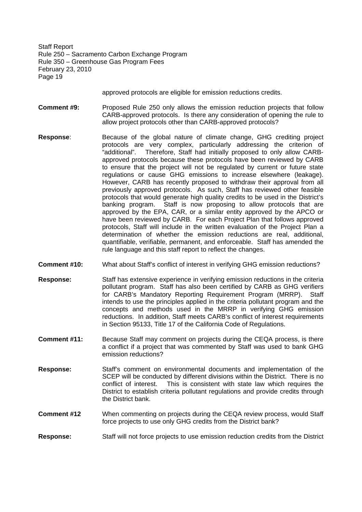approved protocols are eligible for emission reductions credits.

- **Comment #9:** Proposed Rule 250 only allows the emission reduction projects that follow CARB-approved protocols. Is there any consideration of opening the rule to allow project protocols other than CARB-approved protocols?
- **Response**: Because of the global nature of climate change, GHG crediting project protocols are very complex, particularly addressing the criterion of "additional". Therefore, Staff had initially proposed to only allow CARBapproved protocols because these protocols have been reviewed by CARB to ensure that the project will not be regulated by current or future state regulations or cause GHG emissions to increase elsewhere (leakage). However, CARB has recently proposed to withdraw their approval from all previously approved protocols. As such, Staff has reviewed other feasible protocols that would generate high quality credits to be used in the District's banking program. Staff is now proposing to allow protocols that are approved by the EPA, CAR, or a similar entity approved by the APCO or have been reviewed by CARB. For each Project Plan that follows approved protocols, Staff will include in the written evaluation of the Project Plan a determination of whether the emission reductions are real, additional, quantifiable, verifiable, permanent, and enforceable. Staff has amended the rule language and this staff report to reflect the changes.
- **Comment #10:** What about Staff's conflict of interest in verifying GHG emission reductions?
- **Response:** Staff has extensive experience in verifying emission reductions in the criteria pollutant program. Staff has also been certified by CARB as GHG verifiers for CARB's Mandatory Reporting Requirement Program (MRRP). Staff intends to use the principles applied in the criteria pollutant program and the concepts and methods used in the MRRP in verifying GHG emission reductions. In addition, Staff meets CARB's conflict of interest requirements in Section 95133, Title 17 of the California Code of Regulations.
- **Comment #11:** Because Staff may comment on projects during the CEQA process, is there a conflict if a project that was commented by Staff was used to bank GHG emission reductions?
- **Response:** Staff's comment on environmental documents and implementation of the SCEP will be conducted by different divisions within the District. There is no conflict of interest. This is consistent with state law which requires the District to establish criteria pollutant regulations and provide credits through the District bank.
- **Comment #12** When commenting on projects during the CEQA review process, would Staff force projects to use only GHG credits from the District bank?
- **Response:** Staff will not force projects to use emission reduction credits from the District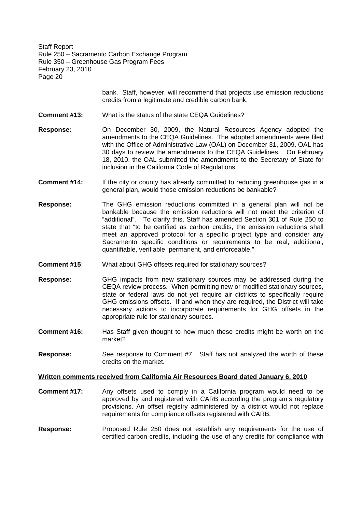> bank. Staff, however, will recommend that projects use emission reductions credits from a legitimate and credible carbon bank.

**Comment #13:** What is the status of the state CEQA Guidelines?

**Response:** On December 30, 2009, the Natural Resources Agency adopted the amendments to the CEQA Guidelines. The adopted amendments were filed with the Office of Administrative Law (OAL) on December 31, 2009. OAL has 30 days to review the amendments to the CEQA Guidelines. On February 18, 2010, the OAL submitted the amendments to the Secretary of State for inclusion in the California Code of Regulations.

- **Comment #14:** If the city or county has already committed to reducing greenhouse gas in a general plan, would those emission reductions be bankable?
- **Response:** The GHG emission reductions committed in a general plan will not be bankable because the emission reductions will not meet the criterion of "additional". To clarify this, Staff has amended Section 301 of Rule 250 to state that "to be certified as carbon credits, the emission reductions shall meet an approved protocol for a specific project type and consider any Sacramento specific conditions or requirements to be real, additional, quantifiable, verifiable, permanent, and enforceable."
- **Comment #15**: What about GHG offsets required for stationary sources?
- **Response:** GHG impacts from new stationary sources may be addressed during the CEQA review process. When permitting new or modified stationary sources, state or federal laws do not yet require air districts to specifically require GHG emissions offsets. If and when they are required, the District will take necessary actions to incorporate requirements for GHG offsets in the appropriate rule for stationary sources.
- **Comment #16:** Has Staff given thought to how much these credits might be worth on the market?
- **Response:** See response to Comment #7. Staff has not analyzed the worth of these credits on the market.

### **Written comments received from California Air Resources Board dated January 6, 2010**

- **Comment #17:** Any offsets used to comply in a California program would need to be approved by and registered with CARB according the program's regulatory provisions. An offset registry administered by a district would not replace requirements for compliance offsets registered with CARB.
- **Response:** Proposed Rule 250 does not establish any requirements for the use of certified carbon credits, including the use of any credits for compliance with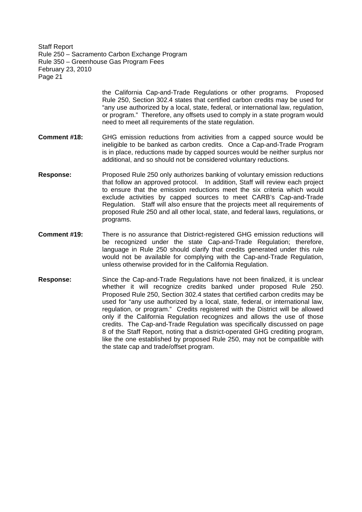> the California Cap-and-Trade Regulations or other programs. Proposed Rule 250, Section 302.4 states that certified carbon credits may be used for "any use authorized by a local, state, federal, or international law, regulation, or program." Therefore, any offsets used to comply in a state program would need to meet all requirements of the state regulation.

- **Comment #18:** GHG emission reductions from activities from a capped source would be ineligible to be banked as carbon credits. Once a Cap-and-Trade Program is in place, reductions made by capped sources would be neither surplus nor additional, and so should not be considered voluntary reductions.
- **Response:** Proposed Rule 250 only authorizes banking of voluntary emission reductions that follow an approved protocol. In addition, Staff will review each project to ensure that the emission reductions meet the six criteria which would exclude activities by capped sources to meet CARB's Cap-and-Trade Regulation. Staff will also ensure that the projects meet all requirements of proposed Rule 250 and all other local, state, and federal laws, regulations, or programs.
- **Comment #19:** There is no assurance that District-registered GHG emission reductions will be recognized under the state Cap-and-Trade Regulation; therefore, language in Rule 250 should clarify that credits generated under this rule would not be available for complying with the Cap-and-Trade Regulation, unless otherwise provided for in the California Regulation.
- **Response:** Since the Cap-and-Trade Regulations have not been finalized, it is unclear whether it will recognize credits banked under proposed Rule 250. Proposed Rule 250, Section 302.4 states that certified carbon credits may be used for "any use authorized by a local, state, federal, or international law, regulation, or program." Credits registered with the District will be allowed only if the California Regulation recognizes and allows the use of those credits. The Cap-and-Trade Regulation was specifically discussed on page 8 of the Staff Report, noting that a district-operated GHG crediting program, like the one established by proposed Rule 250, may not be compatible with the state cap and trade/offset program.